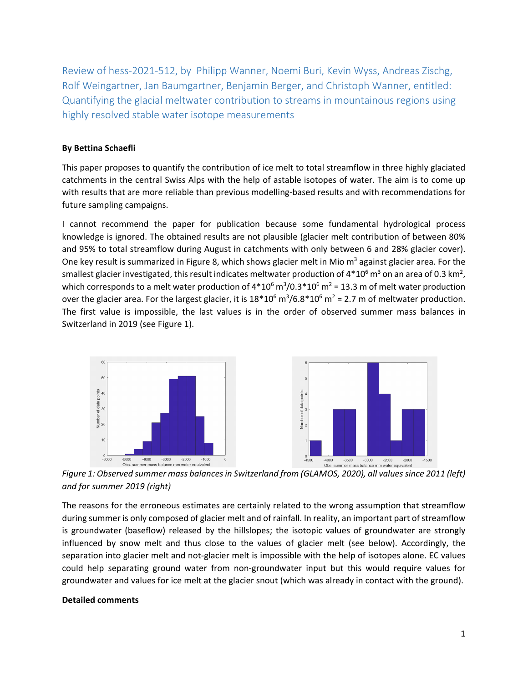Review of hess‐2021‐512, by Philipp Wanner, Noemi Buri, Kevin Wyss, Andreas Zischg, Rolf Weingartner, Jan Baumgartner, Benjamin Berger, and Christoph Wanner, entitled: Quantifying the glacial meltwater contribution to streams in mountainous regions using highly resolved stable water isotope measurements

## **By Bettina Schaefli**

This paper proposes to quantify the contribution of ice melt to total streamflow in three highly glaciated catchments in the central Swiss Alps with the help of astable isotopes of water. The aim is to come up with results that are more reliable than previous modelling‐based results and with recommendations for future sampling campaigns.

I cannot recommend the paper for publication because some fundamental hydrological process knowledge is ignored. The obtained results are not plausible (glacier melt contribution of between 80% and 95% to total streamflow during August in catchments with only between 6 and 28% glacier cover). One key result is summarized in Figure 8, which shows glacier melt in Mio m<sup>3</sup> against glacier area. For the smallest glacier investigated, this result indicates meltwater production of 4\*10 $^6$  m $^3$  on an area of 0.3 km $^2$ , which corresponds to a melt water production of 4\*10 $^6$  m $^3$ /0.3\*10 $^6$  m $^2$  = 13.3 m of melt water production over the glacier area. For the largest glacier, it is  $18*10^6$  m<sup>3</sup>/6.8\*10<sup>6</sup> m<sup>2</sup> = 2.7 m of meltwater production. The first value is impossible, the last values is in the order of observed summer mass balances in Switzerland in 2019 (see Figure 1).



*Figure 1: Observed summer mass balancesin Switzerland from (GLAMOS, 2020), all valuessince 2011 (left) and for summer 2019 (right)*

The reasons for the erroneous estimates are certainly related to the wrong assumption that streamflow during summer is only composed of glacier melt and of rainfall. In reality, an important part of streamflow is groundwater (baseflow) released by the hillslopes; the isotopic values of groundwater are strongly influenced by snow melt and thus close to the values of glacier melt (see below). Accordingly, the separation into glacier melt and not‐glacier melt is impossible with the help of isotopes alone. EC values could help separating ground water from non‐groundwater input but this would require values for groundwater and values for ice melt at the glacier snout (which was already in contact with the ground).

## **Detailed comments**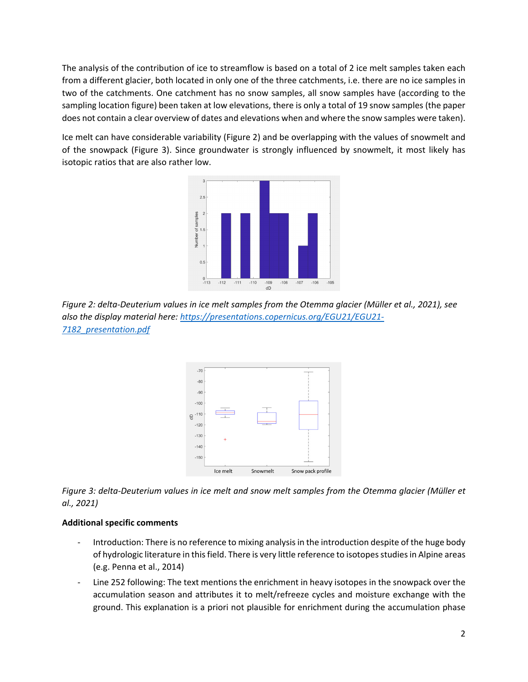The analysis of the contribution of ice to streamflow is based on a total of 2 ice melt samples taken each from a different glacier, both located in only one of the three catchments, i.e. there are no ice samples in two of the catchments. One catchment has no snow samples, all snow samples have (according to the sampling location figure) been taken at low elevations, there is only a total of 19 snow samples (the paper does not contain a clear overview of dates and elevations when and where the snow samples were taken).

Ice melt can have considerable variability (Figure 2) and be overlapping with the values of snowmelt and of the snowpack (Figure 3). Since groundwater is strongly influenced by snowmelt, it most likely has isotopic ratios that are also rather low.



Figure 2: delta-Deuterium values in ice melt samples from the Otemma glacier (Müller et al., 2021), see *also the display material here: https://presentations.copernicus.org/EGU21/EGU21‐ 7182\_presentation.pdf*



Figure 3: delta-Deuterium values in ice melt and snow melt samples from the Otemma glacier (Müller et *al., 2021)*

## **Additional specific comments**

- Introduction: There is no reference to mixing analysis in the introduction despite of the huge body of hydrologic literature in this field. There is very little reference to isotopes studies in Alpine areas (e.g. Penna et al., 2014)
- ‐ Line 252 following: The text mentions the enrichment in heavy isotopes in the snowpack over the accumulation season and attributes it to melt/refreeze cycles and moisture exchange with the ground. This explanation is a priori not plausible for enrichment during the accumulation phase